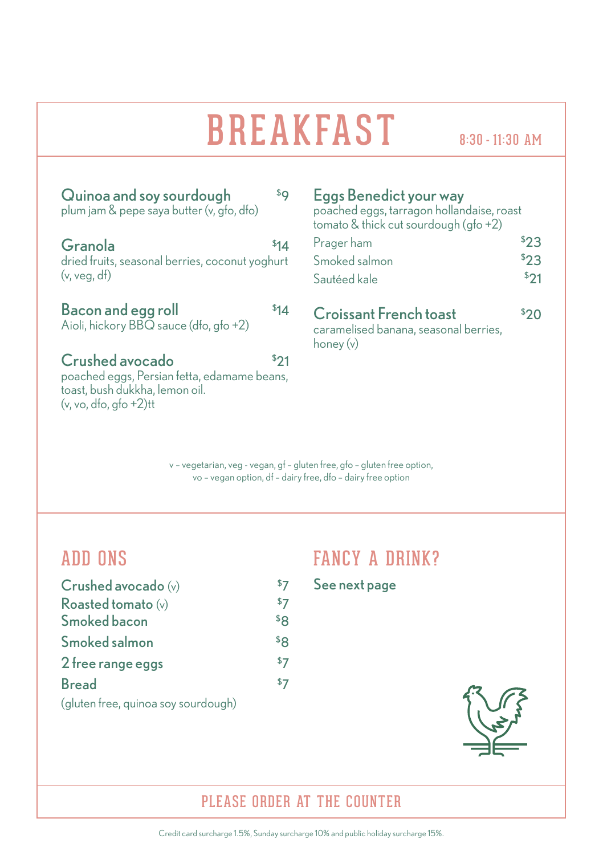# BREAKFAST

| Quinoa and soy sourdough<br>plum jam & pepe saya butter (v, gfo, dfo)                                                          | \$Ο  |
|--------------------------------------------------------------------------------------------------------------------------------|------|
| Granola<br>dried fruits, seasonal berries, coconut yoghurt<br>(v, veq, df)                                                     | \$14 |
| <b>Bacon and egg roll</b><br>Aioli, hickory BBQ sauce (dfo, gfo +2)                                                            | 514  |
| Crushed avocado<br>poached eggs, Persian fetta, edamame beans,<br>toast, bush dukkha, lemon oil.<br>$(v, vo, dfo, qfo + 2)$ tt | \$21 |

### Eggs Benedict your way

poached eggs, tarragon hollandaise, roast tomato & thick cut sourdough (gfo +2)

| Prager ham    | \$23 |
|---------------|------|
| Smoked salmon | 523  |
| Sautéed kale  | \$21 |

#### Croissant French toast \$  $320$

caramelised banana, seasonal berries, honey (v)

v – vegetarian, veg - vegan, gf – gluten free, gfo – gluten free option, vo – vegan option, df – dairy free, dfo – dairy free option

# **ADD ONS**

| Crushed avocado (v)                 |                 |
|-------------------------------------|-----------------|
| Roasted tomato (v)                  | \$7             |
| Smoked bacon                        | \$8             |
| Smoked salmon                       | \$ <sub>R</sub> |
| 2 free range eggs                   | \$7             |
| <b>Bread</b>                        | \$7             |
| (gluten free, quinoa soy sourdough) |                 |

# FANCY A DRINK?

See next page



# PLEASE ORDER AT THE COUNTER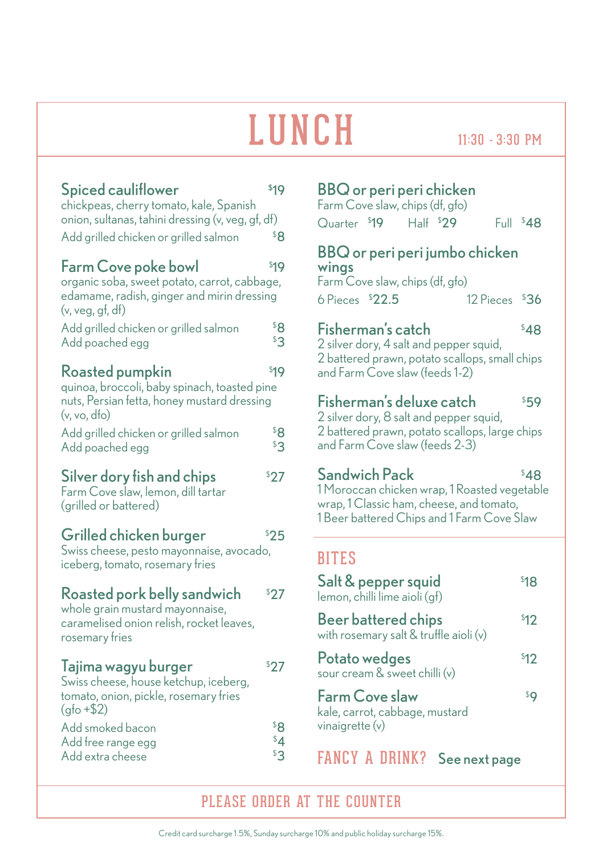# $L$  U N C H  $_{11:30-3:30\text{ PM}}$

| Spiced cauliflower<br>chickpeas, cherry tomato, kale, Spanish<br>onion, sultanas, tahini dressing (v, veg, gf, df)<br>Add grilled chicken or grilled salmon | \$19<br>\$8         |
|-------------------------------------------------------------------------------------------------------------------------------------------------------------|---------------------|
| Farm Cove poke bowl<br>organic soba, sweet potato, carrot, cabbage,<br>edamame, radish, ginger and mirin dressing<br>(v, veg, gf, df)                       | \$19                |
| Add grilled chicken or grilled salmon<br>Add poached egg                                                                                                    | \$8<br>\$3          |
| Roasted pumpkin<br>quinoa, broccoli, baby spinach, toasted pine<br>nuts, Persian fetta, honey mustard dressing<br>(v, vo, dfo)                              | \$19                |
| Add grilled chicken or grilled salmon<br>Add poached egg                                                                                                    | \$8<br>$\mathbf{3}$ |
| Silver dory fish and chips<br>Farm Cove slaw, lemon, dill tartar<br>(grilled or battered)                                                                   | \$27                |
| Grilled chicken burger<br>Swiss cheese, pesto mayonnaise, avocado,<br>iceberg, tomato, rosemary fries                                                       | \$25                |
| Roasted pork belly sandwich<br>whole grain mustard mayonnaise,<br>caramelised onion relish, rocket leaves,<br>rosemary fries                                | 527                 |
| Tajima wagyu burger<br>Swiss cheese, house ketchup, iceberg,<br>tomato, onion, pickle, rosemary fries<br>$(qfo + $2)$                                       | \$27                |
| Add smoked bacon<br>Add free range egg<br>Add extra cheese                                                                                                  | \$8<br>\$4<br>33    |

### BBQ or peri peri chicken

| Farm Cove slaw, chips (df, gfo) |             |  |            |
|---------------------------------|-------------|--|------------|
| Quarter \$19                    | $Hall$ \$29 |  | Full $$48$ |

### BBQ or peri peri jumbo chicken wings

Farm Cove slaw, chips (df, gfo)  $6$  Pieces  $$22.5$ 12 Pieces \$36

# Fisherman's catch \$

2 silver dory, 4 salt and pepper squid, 2 battered prawn, potato scallops, small chips and Farm Cove slaw (feeds 1-2)

#### Fisherman's deluxe catch \$ \$59

2 silver dory, 8 salt and pepper squid, 2 battered prawn, potato scallops, large chips and Farm Cove slaw (feeds 2-3)

### \$48

\$48

1 Moroccan chicken wrap, 1 Roasted vegetable wrap, 1 Classic ham, cheese, and tomato, 1 Beer battered Chips and 1 Farm Cove Slaw

# **BITES**

Sandwich Pack

| Salt & pepper squid<br>lemon, chilli lime aioli (qf)                  | 81 R |
|-----------------------------------------------------------------------|------|
| <b>Beer battered chips</b><br>with rosemary salt & truffle aioli (v)  | \$12 |
| Potato wedges<br>sour cream & sweet chilli (v)                        | \$12 |
| Farm Cove slaw<br>kale, carrot, cabbage, mustard<br>vinaigrette $(v)$ | \$C  |

FANCY A DRINK? See next page

# PLEASE ORDER AT THE COUNTER